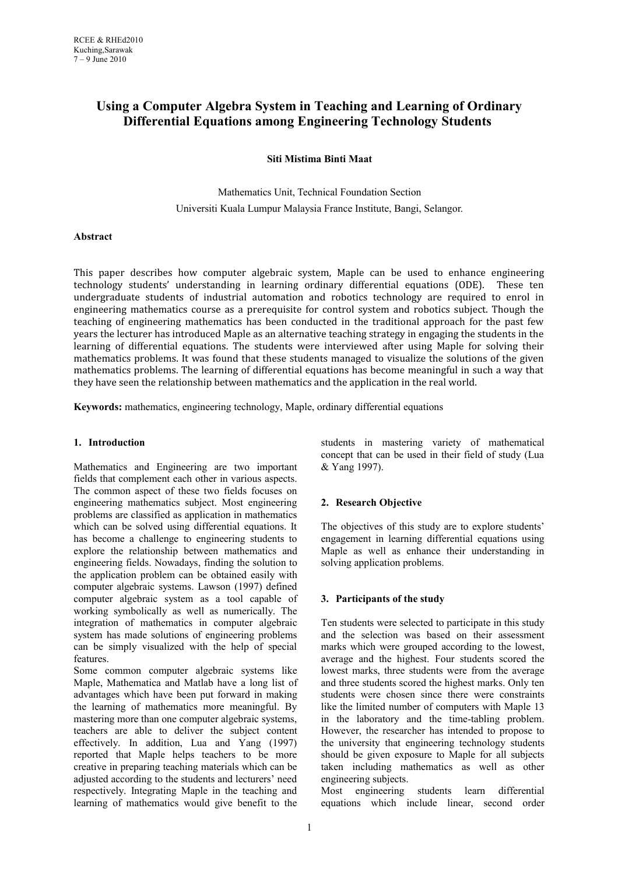# **Using a Computer Algebra System in Teaching and Learning of Ordinary Differential Equations among Engineering Technology Students**

**Siti Mistima Binti Maat**

Mathematics Unit, Technical Foundation Section Universiti Kuala Lumpur Malaysia France Institute, Bangi, Selangor.

### **Abstract**

This paper describes how computer algebraic system, Maple can be used to enhance engineering technology students' understanding in learning ordinary differential equations (ODE). These ten undergraduate students of industrial automation and robotics technology are required to enrol in engineering mathematics course as a prerequisite for control system and robotics subject. Though the teaching of engineering mathematics has been conducted in the traditional approach for the past few years the lecturer has introduced Maple as an alternative teaching strategy in engaging the students in the learning of differential equations. The students were interviewed after using Maple for solving their mathematics problems. It was found that these students managed to visualize the solutions of the given mathematics problems. The learning of differential equations has become meaningful in such a way that they have seen the relationship between mathematics and the application in the real world.

**Keywords:** mathematics, engineering technology, Maple, ordinary differential equations

### **1. Introduction**

Mathematics and Engineering are two important fields that complement each other in various aspects. The common aspect of these two fields focuses on engineering mathematics subject. Most engineering problems are classified as application in mathematics which can be solved using differential equations. It has become a challenge to engineering students to explore the relationship between mathematics and engineering fields. Nowadays, finding the solution to the application problem can be obtained easily with computer algebraic systems. Lawson (1997) defined computer algebraic system as a tool capable of working symbolically as well as numerically. The integration of mathematics in computer algebraic system has made solutions of engineering problems can be simply visualized with the help of special features.

Some common computer algebraic systems like Maple, Mathematica and Matlab have a long list of advantages which have been put forward in making the learning of mathematics more meaningful. By mastering more than one computer algebraic systems, teachers are able to deliver the subject content effectively. In addition, Lua and Yang (1997) reported that Maple helps teachers to be more creative in preparing teaching materials which can be adjusted according to the students and lecturers' need respectively. Integrating Maple in the teaching and learning of mathematics would give benefit to the

students in mastering variety of mathematical concept that can be used in their field of study (Lua & Yang 1997).

## **2. Research Objective**

The objectives of this study are to explore students' engagement in learning differential equations using Maple as well as enhance their understanding in solving application problems.

## **3. Participants of the study**

Ten students were selected to participate in this study and the selection was based on their assessment marks which were grouped according to the lowest, average and the highest. Four students scored the lowest marks, three students were from the average and three students scored the highest marks. Only ten students were chosen since there were constraints like the limited number of computers with Maple 13 in the laboratory and the time-tabling problem. However, the researcher has intended to propose to the university that engineering technology students should be given exposure to Maple for all subjects taken including mathematics as well as other engineering subjects.

Most engineering students learn differential equations which include linear, second order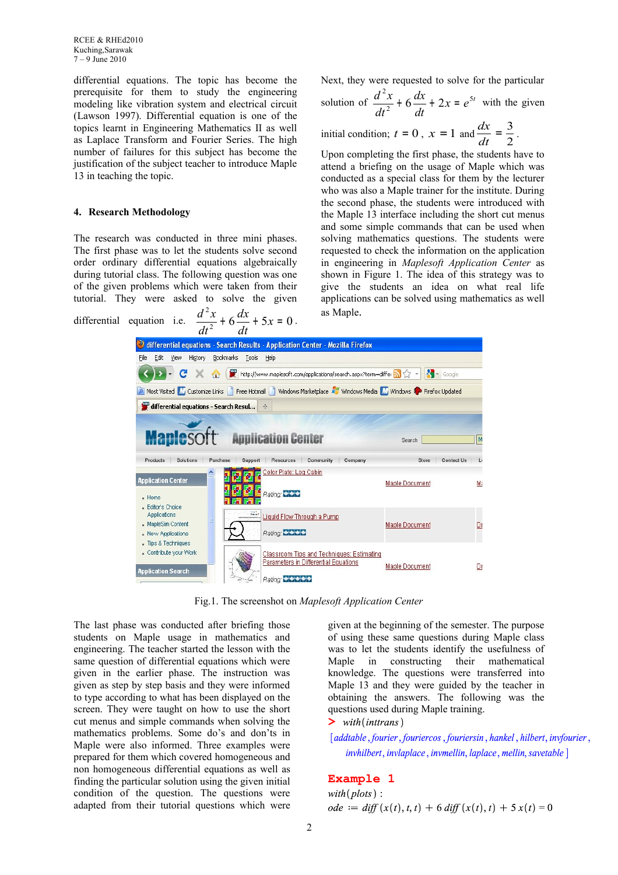differential equations. The topic has become the prerequisite for them to study the engineering modeling like vibration system and electrical circuit (Lawson 1997). Differential equation is one of the topics learnt in Engineering Mathematics II as well as Laplace Transform and Fourier Series. The high number of failures for this subject has become the justification of the subject teacher to introduce Maple 13 in teaching the topic.

#### **4. Research Methodology**

The research was conducted in three mini phases. The first phase was to let the students solve second order ordinary differential equations algebraically during tutorial class. The following question was one of the given problems which were taken from their tutorial. They were asked to solve the given

2

 $+ 6 \frac{ax}{x} + 5x =$ 

*dx*

 $\frac{d^2x}{dx^2} + 6\frac{dx}{dx} + 5x = 0$ .

Next, they were requested to solve for the particular

solution of 
$$
\frac{d^2x}{dt^2} + 6\frac{dx}{dt} + 2x = e^{5t}
$$
 with the given

initial condition;  $t = 0$ ,  $x = 1$  and  $\frac{dx}{dt} = \frac{3}{2}$  $\frac{dx}{dt} = \frac{3}{2}$  $\frac{dx}{1} = \frac{3}{2}$ .

Upon completing the first phase, the students have to attend a briefing on the usage of Maple which was conducted as a special class for them by the lecturer who was also a Maple trainer for the institute. During the second phase, the students were introduced with the Maple 13 interface including the short cut menus and some simple commands that can be used when solving mathematics questions. The students were requested to check the information on the application in engineering in *Maplesoft Application Center* as shown in Figure 1. The idea of this strategy was to give the students an idea on what real life applications can be solved using mathematics as well as Maple.

differential equation i.e.  $\frac{d^{2}x}{dt^{2}} + 6\frac{dx}{dt} + 5x = 0$ *dt dt* لا differential equations - Search Results - Application Center - Mozilla Firefox Edit View History Bookmarks Tools Help File I C X C K E http://www.maplesoft.com/applications/search.aspx?term=differ N \ \ - | X - Google Most Visited M Customize Links T Free Hotmail T Windows Marketplace AT Windows Media M Windows T Firefox Updated differential equations - Search Resul... **Manlesoft Application Center** Search M Products Solutions Support Resources Community Company Store Contact Us  $\overline{1}$ **Purchase** Color Plate: Log Cabin مامال **Application Cente** Maple Document Ma Rating: CLC - Home - Editor's Choice Applications  $\sum_{k=1}^{n}$ **Liquid Flow Through a Pump** MapleSim Content **Maple Document**  $Dr$ </u> Rating: **CCCC** - New Applications Tips & Techniques - Contribute your Work Classroom Tips and Techniques: Estimating Parameters in Differential Equations **Maple Document**  $Dr$ lication Search Rating: +++++

Fig.1. The screenshot on *Maplesoft Application Center*

The last phase was conducted after briefing those students on Maple usage in mathematics and engineering. The teacher started the lesson with the same question of differential equations which were given in the earlier phase. The instruction was given as step by step basis and they were informed to type according to what has been displayed on the screen. They were taught on how to use the short cut menus and simple commands when solving the mathematics problems. Some do's and don'ts in Maple were also informed. Three examples were prepared for them which covered homogeneous and non homogeneous differential equations as well as finding the particular solution using the given initial condition of the question. The questions were adapted from their tutorial questions which were

given at the beginning of the semester. The purpose of using these same questions during Maple class was to let the students identify the usefulness of Maple in constructing their mathematical knowledge. The questions were transferred into Maple 13 and they were guided by the teacher in obtaining the answers. The following was the questions used during Maple training.

**>** 

[addtable, fourier, fouriercos, fouriersin, hankel, hilbert, invfourier, invhilbert, invlaplace, invmellin, laplace, mellin, savetable ]

## **Example 1**

 $with (plots)$ :  $ode := diff(x(t), t, t) + 6 diff(x(t), t) + 5x(t) = 0$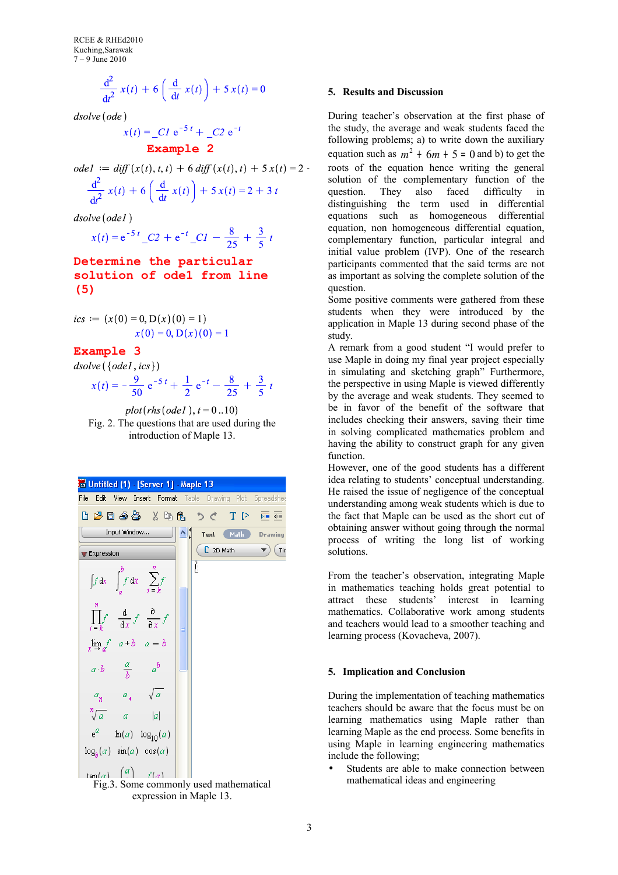RCEE & RHEd2010 Kuching,Sarawak 7 – 9 June 2010

$$
\frac{\mathrm{d}^2}{\mathrm{d}t^2}x(t) + 6\left(\frac{\mathrm{d}}{\mathrm{d}t}x(t)\right) + 5x(t) = 0
$$

 $dsolve(\text{ode})$ 

$$
x(t) = C1 e^{-5t} + C2 e^{-t}
$$

**Example 2**

ode1 := diff(x(t), t, t) + 6 diff(x(t), t) + 5 x(t) = 2  
\n
$$
\frac{d^2}{dt^2} x(t) + 6 \left( \frac{d}{dt} x(t) \right) + 5 x(t) = 2 + 3 t
$$

dsolve(ode1)

$$
x(t) = e^{-5t} \cdot C2 + e^{-t} \cdot C1 - \frac{8}{25} + \frac{3}{5}t
$$

## **Determine the particular solution of ode1 from line (5)**

$$
ics := (x(0) = 0, D(x)(0) = 1)
$$
  
 
$$
x(0) = 0, D(x)(0) = 1
$$

## **Example 3**

 $dsolve({\{ode1,ics\}})$ 

$$
x(t) = -\frac{9}{50} e^{-5t} + \frac{1}{2} e^{-t} - \frac{8}{25} + \frac{3}{5} t
$$

 $plot(rhs(ode1), t = 0..10)$ Fig. 2. The questions that are used during the introduction of Maple 13.



 $\frac{f(a)}{F(g, 3)}$   $\frac{f'(a)}{f'(a)}$   $\frac{f'(a)}{g''(a)}$  used mathematical expression in Maple 13.

### **5. Results and Discussion**

During teacher's observation at the first phase of the study, the average and weak students faced the following problems; a) to write down the auxiliary equation such as  $m^2 + 6m + 5 = 0$  and b) to get the roots of the equation hence writing the general solution of the complementary function of the question. They also faced difficulty in distinguishing the term used in differential equations such as homogeneous differential equation, non homogeneous differential equation, complementary function, particular integral and initial value problem (IVP). One of the research participants commented that the said terms are not as important as solving the complete solution of the question.

Some positive comments were gathered from these students when they were introduced by the application in Maple 13 during second phase of the study.

A remark from a good student "I would prefer to use Maple in doing my final year project especially in simulating and sketching graph" Furthermore, the perspective in using Maple is viewed differently by the average and weak students. They seemed to be in favor of the benefit of the software that includes checking their answers, saving their time in solving complicated mathematics problem and having the ability to construct graph for any given function.

However, one of the good students has a different idea relating to students' conceptual understanding. He raised the issue of negligence of the conceptual understanding among weak students which is due to the fact that Maple can be used as the short cut of obtaining answer without going through the normal process of writing the long list of working solutions.

From the teacher's observation, integrating Maple in mathematics teaching holds great potential to attract these students' interest in learning mathematics. Collaborative work among students and teachers would lead to a smoother teaching and learning process (Kovacheva, 2007).

#### **5. Implication and Conclusion**

During the implementation of teaching mathematics teachers should be aware that the focus must be on learning mathematics using Maple rather than learning Maple as the end process. Some benefits in using Maple in learning engineering mathematics include the following;

Students are able to make connection between mathematical ideas and engineering